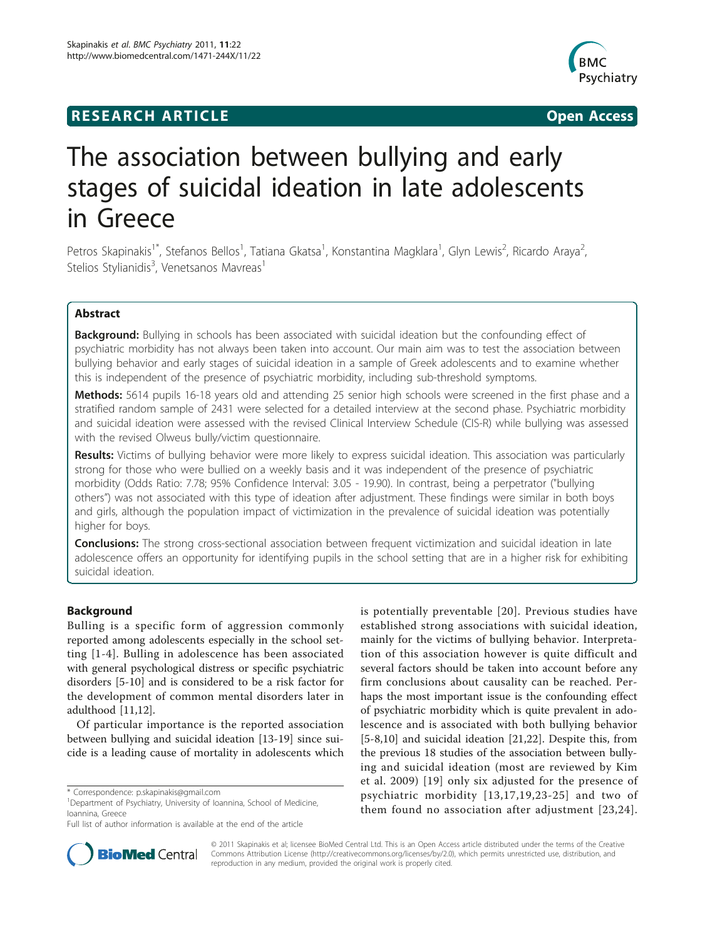## **RESEARCH ARTICLE Example 2008 CONSIDERING CONSIDERING CONSIDERING CONSIDERING CONSIDERING CONSIDERING CONSIDERING CONSIDERING CONSIDERING CONSIDERING CONSIDERING CONSIDERING CONSIDERING CONSIDERING CONSIDERING CONSIDE**



# The association between bullying and early stages of suicidal ideation in late adolescents in Greece

Petros Skapinakis<sup>1\*</sup>, Stefanos Bellos<sup>1</sup>, Tatiana Gkatsa<sup>1</sup>, Konstantina Magklara<sup>1</sup>, Glyn Lewis<sup>2</sup>, Ricardo Araya<sup>2</sup> , Stelios Stylianidis<sup>3</sup>, Venetsanos Mavreas<sup>1</sup>

## Abstract

**Background:** Bullying in schools has been associated with suicidal ideation but the confounding effect of psychiatric morbidity has not always been taken into account. Our main aim was to test the association between bullying behavior and early stages of suicidal ideation in a sample of Greek adolescents and to examine whether this is independent of the presence of psychiatric morbidity, including sub-threshold symptoms.

Methods: 5614 pupils 16-18 years old and attending 25 senior high schools were screened in the first phase and a stratified random sample of 2431 were selected for a detailed interview at the second phase. Psychiatric morbidity and suicidal ideation were assessed with the revised Clinical Interview Schedule (CIS-R) while bullying was assessed with the revised Olweus bully/victim questionnaire.

Results: Victims of bullying behavior were more likely to express suicidal ideation. This association was particularly strong for those who were bullied on a weekly basis and it was independent of the presence of psychiatric morbidity (Odds Ratio: 7.78; 95% Confidence Interval: 3.05 - 19.90). In contrast, being a perpetrator ("bullying others") was not associated with this type of ideation after adjustment. These findings were similar in both boys and girls, although the population impact of victimization in the prevalence of suicidal ideation was potentially higher for boys.

**Conclusions:** The strong cross-sectional association between frequent victimization and suicidal ideation in late adolescence offers an opportunity for identifying pupils in the school setting that are in a higher risk for exhibiting suicidal ideation.

## Background

Bulling is a specific form of aggression commonly reported among adolescents especially in the school setting [[1-4\]](#page-7-0). Bulling in adolescence has been associated with general psychological distress or specific psychiatric disorders [[5-10](#page-7-0)] and is considered to be a risk factor for the development of common mental disorders later in adulthood [\[11,12\]](#page-7-0).

Of particular importance is the reported association between bullying and suicidal ideation [[13](#page-8-0)-[19\]](#page-8-0) since suicide is a leading cause of mortality in adolescents which

is potentially preventable [[20](#page-8-0)]. Previous studies have established strong associations with suicidal ideation, mainly for the victims of bullying behavior. Interpretation of this association however is quite difficult and several factors should be taken into account before any firm conclusions about causality can be reached. Perhaps the most important issue is the confounding effect of psychiatric morbidity which is quite prevalent in adolescence and is associated with both bullying behavior [[5-8](#page-7-0),[10\]](#page-7-0) and suicidal ideation [[21,22\]](#page-8-0). Despite this, from the previous 18 studies of the association between bullying and suicidal ideation (most are reviewed by Kim et al. 2009) [[19](#page-8-0)] only six adjusted for the presence of psychiatric morbidity [[13,17](#page-8-0),[19,23](#page-8-0)-[25\]](#page-8-0) and two of them found no association after adjustment [[23,24\]](#page-8-0).



© 2011 Skapinakis et al; licensee BioMed Central Ltd. This is an Open Access article distributed under the terms of the Creative Commons Attribution License [\(http://creativecommons.org/licenses/by/2.0](http://creativecommons.org/licenses/by/2.0)), which permits unrestricted use, distribution, and reproduction in any medium, provided the original work is properly cited.

<sup>\*</sup> Correspondence: [p.skapinakis@gmail.com](mailto:p.skapinakis@gmail.com)

<sup>&</sup>lt;sup>1</sup>Department of Psychiatry, University of Ioannina, School of Medicine, Ioannina, Greece

Full list of author information is available at the end of the article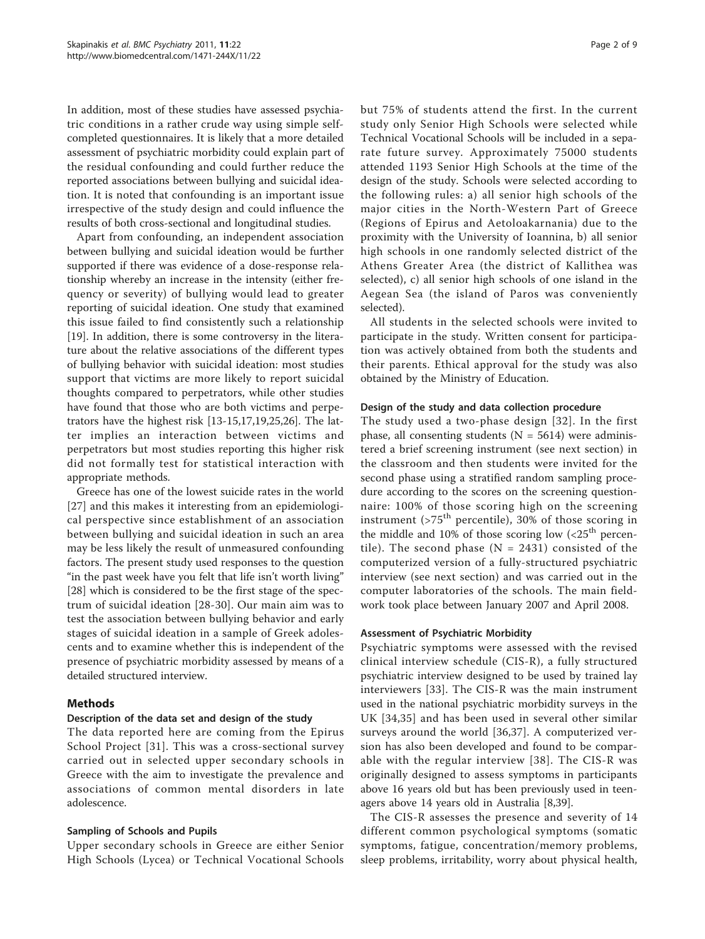In addition, most of these studies have assessed psychiatric conditions in a rather crude way using simple selfcompleted questionnaires. It is likely that a more detailed assessment of psychiatric morbidity could explain part of the residual confounding and could further reduce the reported associations between bullying and suicidal ideation. It is noted that confounding is an important issue irrespective of the study design and could influence the results of both cross-sectional and longitudinal studies.

Apart from confounding, an independent association between bullying and suicidal ideation would be further supported if there was evidence of a dose-response relationship whereby an increase in the intensity (either frequency or severity) of bullying would lead to greater reporting of suicidal ideation. One study that examined this issue failed to find consistently such a relationship [[19\]](#page-8-0). In addition, there is some controversy in the literature about the relative associations of the different types of bullying behavior with suicidal ideation: most studies support that victims are more likely to report suicidal thoughts compared to perpetrators, while other studies have found that those who are both victims and perpetrators have the highest risk [\[13](#page-8-0)-[15,17,19,25,26\]](#page-8-0). The latter implies an interaction between victims and perpetrators but most studies reporting this higher risk did not formally test for statistical interaction with appropriate methods.

Greece has one of the lowest suicide rates in the world [[27\]](#page-8-0) and this makes it interesting from an epidemiological perspective since establishment of an association between bullying and suicidal ideation in such an area may be less likely the result of unmeasured confounding factors. The present study used responses to the question "in the past week have you felt that life isn't worth living" [[28\]](#page-8-0) which is considered to be the first stage of the spectrum of suicidal ideation [[28-30\]](#page-8-0). Our main aim was to test the association between bullying behavior and early stages of suicidal ideation in a sample of Greek adolescents and to examine whether this is independent of the presence of psychiatric morbidity assessed by means of a detailed structured interview.

## Methods

## Description of the data set and design of the study

The data reported here are coming from the Epirus School Project [\[31\]](#page-8-0). This was a cross-sectional survey carried out in selected upper secondary schools in Greece with the aim to investigate the prevalence and associations of common mental disorders in late adolescence.

## Sampling of Schools and Pupils

Upper secondary schools in Greece are either Senior High Schools (Lycea) or Technical Vocational Schools but 75% of students attend the first. In the current study only Senior High Schools were selected while Technical Vocational Schools will be included in a separate future survey. Approximately 75000 students attended 1193 Senior High Schools at the time of the design of the study. Schools were selected according to the following rules: a) all senior high schools of the major cities in the North-Western Part of Greece (Regions of Epirus and Aetoloakarnania) due to the proximity with the University of Ioannina, b) all senior high schools in one randomly selected district of the Athens Greater Area (the district of Kallithea was selected), c) all senior high schools of one island in the Aegean Sea (the island of Paros was conveniently selected).

All students in the selected schools were invited to participate in the study. Written consent for participation was actively obtained from both the students and their parents. Ethical approval for the study was also obtained by the Ministry of Education.

#### Design of the study and data collection procedure

The study used a two-phase design [[32](#page-8-0)]. In the first phase, all consenting students ( $N = 5614$ ) were administered a brief screening instrument (see next section) in the classroom and then students were invited for the second phase using a stratified random sampling procedure according to the scores on the screening questionnaire: 100% of those scoring high on the screening instrument ( $>75^{th}$  percentile), 30% of those scoring in the middle and 10% of those scoring low  $\left($  <25<sup>th</sup> percentile). The second phase ( $N = 2431$ ) consisted of the computerized version of a fully-structured psychiatric interview (see next section) and was carried out in the computer laboratories of the schools. The main fieldwork took place between January 2007 and April 2008.

## Assessment of Psychiatric Morbidity

Psychiatric symptoms were assessed with the revised clinical interview schedule (CIS-R), a fully structured psychiatric interview designed to be used by trained lay interviewers [[33](#page-8-0)]. The CIS-R was the main instrument used in the national psychiatric morbidity surveys in the UK [[34,35](#page-8-0)] and has been used in several other similar surveys around the world [\[36,37\]](#page-8-0). A computerized version has also been developed and found to be comparable with the regular interview [[38\]](#page-8-0). The CIS-R was originally designed to assess symptoms in participants above 16 years old but has been previously used in teenagers above 14 years old in Australia [[8](#page-7-0),[39](#page-8-0)].

The CIS-R assesses the presence and severity of 14 different common psychological symptoms (somatic symptoms, fatigue, concentration/memory problems, sleep problems, irritability, worry about physical health,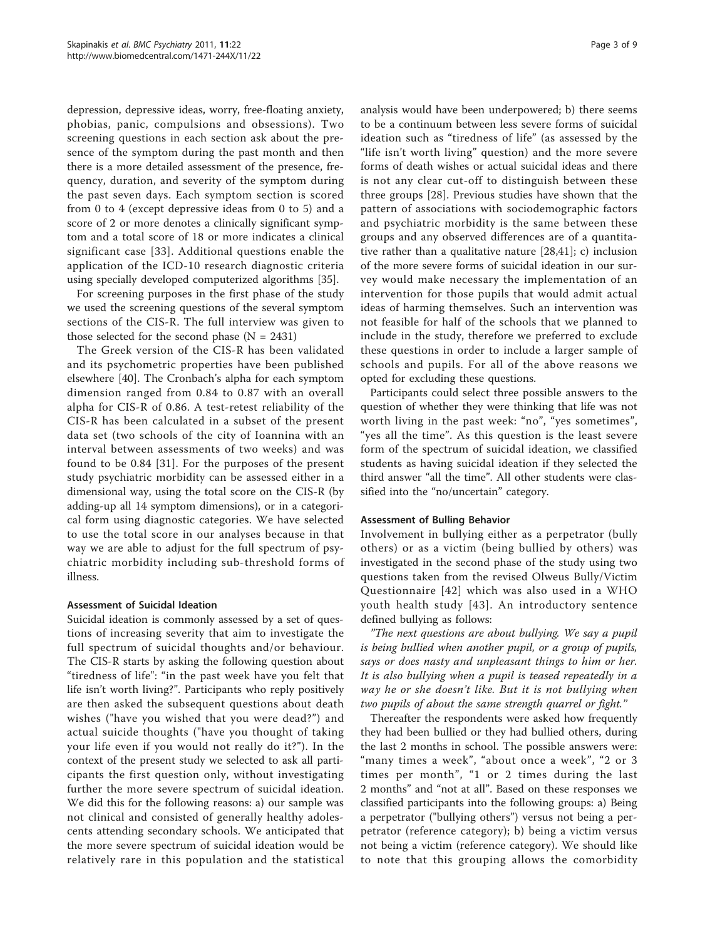depression, depressive ideas, worry, free-floating anxiety, phobias, panic, compulsions and obsessions). Two screening questions in each section ask about the presence of the symptom during the past month and then there is a more detailed assessment of the presence, frequency, duration, and severity of the symptom during the past seven days. Each symptom section is scored from 0 to 4 (except depressive ideas from 0 to 5) and a score of 2 or more denotes a clinically significant symptom and a total score of 18 or more indicates a clinical significant case [[33](#page-8-0)]. Additional questions enable the application of the ICD-10 research diagnostic criteria using specially developed computerized algorithms [\[35](#page-8-0)].

For screening purposes in the first phase of the study we used the screening questions of the several symptom sections of the CIS-R. The full interview was given to those selected for the second phase  $(N = 2431)$ 

The Greek version of the CIS-R has been validated and its psychometric properties have been published elsewhere [\[40\]](#page-8-0). The Cronbach's alpha for each symptom dimension ranged from 0.84 to 0.87 with an overall alpha for CIS-R of 0.86. A test-retest reliability of the CIS-R has been calculated in a subset of the present data set (two schools of the city of Ioannina with an interval between assessments of two weeks) and was found to be 0.84 [[31](#page-8-0)]. For the purposes of the present study psychiatric morbidity can be assessed either in a dimensional way, using the total score on the CIS-R (by adding-up all 14 symptom dimensions), or in a categorical form using diagnostic categories. We have selected to use the total score in our analyses because in that way we are able to adjust for the full spectrum of psychiatric morbidity including sub-threshold forms of illness.

#### Assessment of Suicidal Ideation

Suicidal ideation is commonly assessed by a set of questions of increasing severity that aim to investigate the full spectrum of suicidal thoughts and/or behaviour. The CIS-R starts by asking the following question about "tiredness of life": "in the past week have you felt that life isn't worth living?". Participants who reply positively are then asked the subsequent questions about death wishes ("have you wished that you were dead?") and actual suicide thoughts ("have you thought of taking your life even if you would not really do it?"). In the context of the present study we selected to ask all participants the first question only, without investigating further the more severe spectrum of suicidal ideation. We did this for the following reasons: a) our sample was not clinical and consisted of generally healthy adolescents attending secondary schools. We anticipated that the more severe spectrum of suicidal ideation would be relatively rare in this population and the statistical analysis would have been underpowered; b) there seems to be a continuum between less severe forms of suicidal ideation such as "tiredness of life" (as assessed by the "life isn't worth living" question) and the more severe forms of death wishes or actual suicidal ideas and there is not any clear cut-off to distinguish between these three groups [\[28](#page-8-0)]. Previous studies have shown that the pattern of associations with sociodemographic factors and psychiatric morbidity is the same between these groups and any observed differences are of a quantitative rather than a qualitative nature [[28](#page-8-0),[41](#page-8-0)]; c) inclusion of the more severe forms of suicidal ideation in our survey would make necessary the implementation of an intervention for those pupils that would admit actual ideas of harming themselves. Such an intervention was not feasible for half of the schools that we planned to include in the study, therefore we preferred to exclude these questions in order to include a larger sample of schools and pupils. For all of the above reasons we opted for excluding these questions.

Participants could select three possible answers to the question of whether they were thinking that life was not worth living in the past week: "no", "yes sometimes", "yes all the time". As this question is the least severe form of the spectrum of suicidal ideation, we classified students as having suicidal ideation if they selected the third answer "all the time". All other students were classified into the "no/uncertain" category.

#### Assessment of Bulling Behavior

Involvement in bullying either as a perpetrator (bully others) or as a victim (being bullied by others) was investigated in the second phase of the study using two questions taken from the revised Olweus Bully/Victim Questionnaire [[42\]](#page-8-0) which was also used in a WHO youth health study [[43](#page-8-0)]. An introductory sentence defined bullying as follows:

''The next questions are about bullying. We say a pupil is being bullied when another pupil, or a group of pupils, says or does nasty and unpleasant things to him or her. It is also bullying when a pupil is teased repeatedly in a way he or she doesn't like. But it is not bullying when two pupils of about the same strength quarrel or fight.''

Thereafter the respondents were asked how frequently they had been bullied or they had bullied others, during the last 2 months in school. The possible answers were: "many times a week", "about once a week", "2 or 3 times per month", "1 or 2 times during the last 2 months" and "not at all". Based on these responses we classified participants into the following groups: a) Being a perpetrator ("bullying others") versus not being a perpetrator (reference category); b) being a victim versus not being a victim (reference category). We should like to note that this grouping allows the comorbidity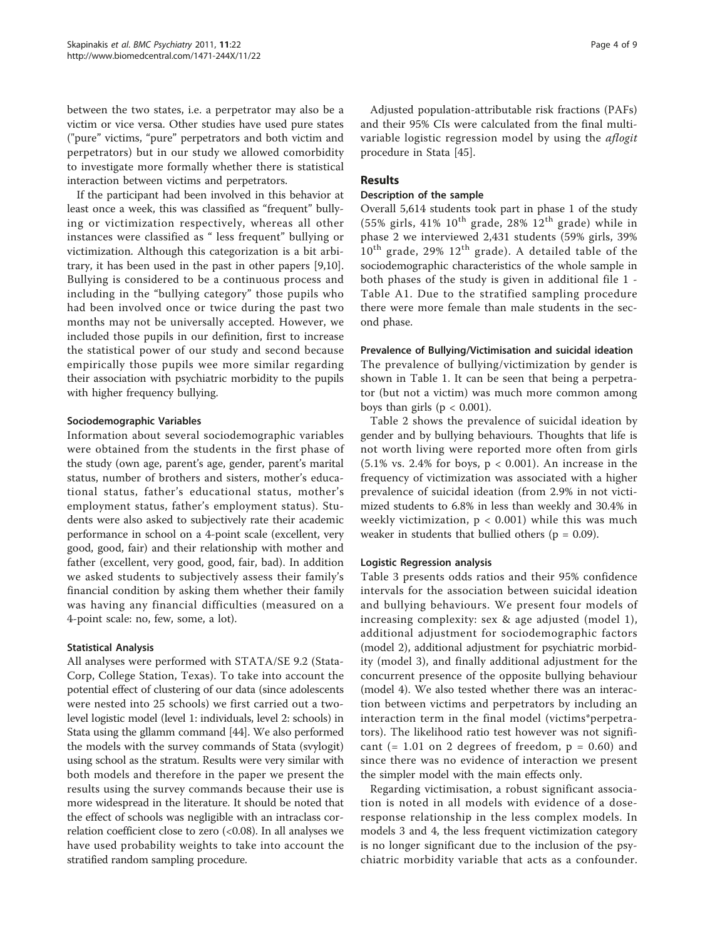between the two states, i.e. a perpetrator may also be a victim or vice versa. Other studies have used pure states ("pure" victims, "pure" perpetrators and both victim and perpetrators) but in our study we allowed comorbidity to investigate more formally whether there is statistical interaction between victims and perpetrators.

If the participant had been involved in this behavior at least once a week, this was classified as "frequent" bullying or victimization respectively, whereas all other instances were classified as " less frequent" bullying or victimization. Although this categorization is a bit arbitrary, it has been used in the past in other papers [\[9,10](#page-7-0)]. Bullying is considered to be a continuous process and including in the "bullying category" those pupils who had been involved once or twice during the past two months may not be universally accepted. However, we included those pupils in our definition, first to increase the statistical power of our study and second because empirically those pupils wee more similar regarding their association with psychiatric morbidity to the pupils with higher frequency bullying.

#### Sociodemographic Variables

Information about several sociodemographic variables were obtained from the students in the first phase of the study (own age, parent's age, gender, parent's marital status, number of brothers and sisters, mother's educational status, father's educational status, mother's employment status, father's employment status). Students were also asked to subjectively rate their academic performance in school on a 4-point scale (excellent, very good, good, fair) and their relationship with mother and father (excellent, very good, good, fair, bad). In addition we asked students to subjectively assess their family's financial condition by asking them whether their family was having any financial difficulties (measured on a 4-point scale: no, few, some, a lot).

## Statistical Analysis

All analyses were performed with STATA/SE 9.2 (Stata-Corp, College Station, Texas). To take into account the potential effect of clustering of our data (since adolescents were nested into 25 schools) we first carried out a twolevel logistic model (level 1: individuals, level 2: schools) in Stata using the gllamm command [\[44](#page-8-0)]. We also performed the models with the survey commands of Stata (svylogit) using school as the stratum. Results were very similar with both models and therefore in the paper we present the results using the survey commands because their use is more widespread in the literature. It should be noted that the effect of schools was negligible with an intraclass correlation coefficient close to zero  $\left($ <0.08). In all analyses we have used probability weights to take into account the stratified random sampling procedure.

Adjusted population-attributable risk fractions (PAFs) and their 95% CIs were calculated from the final multivariable logistic regression model by using the aflogit procedure in Stata [[45\]](#page-8-0).

## Results

#### Description of the sample

Overall 5,614 students took part in phase 1 of the study (55% girls, 41%  $10^{th}$  grade, 28%  $12^{th}$  grade) while in phase 2 we interviewed 2,431 students (59% girls, 39%  $10^{th}$  grade, 29%  $12^{th}$  grade). A detailed table of the sociodemographic characteristics of the whole sample in both phases of the study is given in additional file [1](#page-7-0) - Table A1. Due to the stratified sampling procedure there were more female than male students in the second phase.

#### Prevalence of Bullying/Victimisation and suicidal ideation

The prevalence of bullying/victimization by gender is shown in Table [1](#page-4-0). It can be seen that being a perpetrator (but not a victim) was much more common among boys than girls ( $p < 0.001$ ).

Table [2](#page-4-0) shows the prevalence of suicidal ideation by gender and by bullying behaviours. Thoughts that life is not worth living were reported more often from girls  $(5.1\% \text{ vs. } 2.4\% \text{ for boys, } p < 0.001)$ . An increase in the frequency of victimization was associated with a higher prevalence of suicidal ideation (from 2.9% in not victimized students to 6.8% in less than weekly and 30.4% in weekly victimization,  $p < 0.001$ ) while this was much weaker in students that bullied others ( $p = 0.09$ ).

#### Logistic Regression analysis

Table [3](#page-5-0) presents odds ratios and their 95% confidence intervals for the association between suicidal ideation and bullying behaviours. We present four models of increasing complexity: sex & age adjusted (model 1), additional adjustment for sociodemographic factors (model 2), additional adjustment for psychiatric morbidity (model 3), and finally additional adjustment for the concurrent presence of the opposite bullying behaviour (model 4). We also tested whether there was an interaction between victims and perpetrators by including an interaction term in the final model (victims\*perpetrators). The likelihood ratio test however was not significant (= 1.01 on 2 degrees of freedom,  $p = 0.60$ ) and since there was no evidence of interaction we present the simpler model with the main effects only.

Regarding victimisation, a robust significant association is noted in all models with evidence of a doseresponse relationship in the less complex models. In models 3 and 4, the less frequent victimization category is no longer significant due to the inclusion of the psychiatric morbidity variable that acts as a confounder.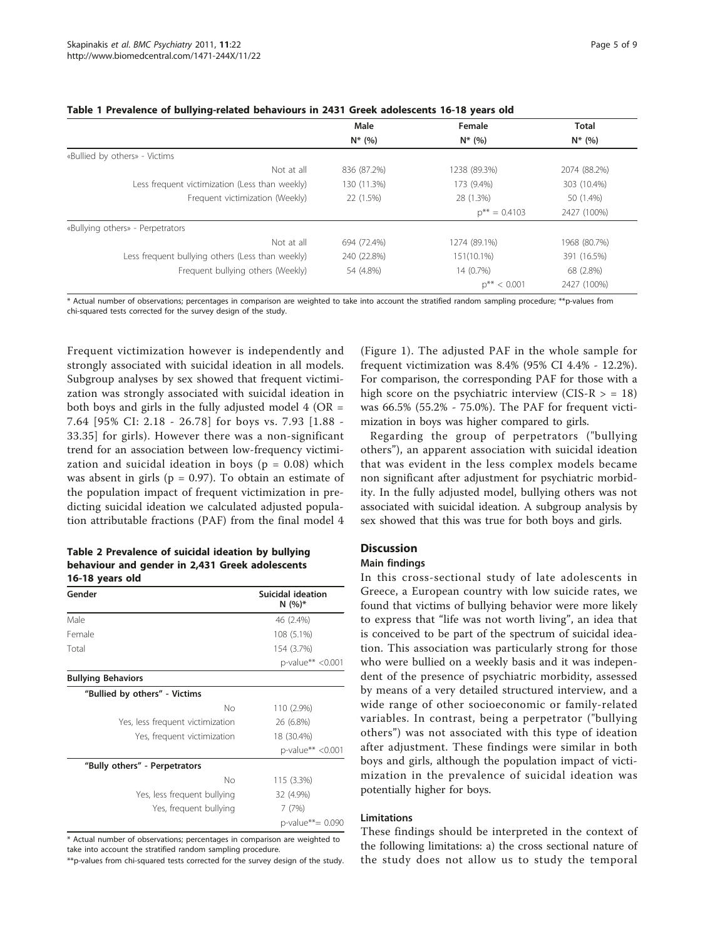|                                                  | Male        | Female            | <b>Total</b> |
|--------------------------------------------------|-------------|-------------------|--------------|
|                                                  | $N^*$ (%)   | $N^*$ (%)         | $N^*$ (%)    |
| «Bullied by others» - Victims                    |             |                   |              |
| Not at all                                       | 836 (87.2%) | 1238 (89.3%)      | 2074 (88.2%) |
| Less frequent victimization (Less than weekly)   | 130 (11.3%) | 173 (9.4%)        | 303 (10.4%)  |
| Frequent victimization (Weekly)                  | 22 (1.5%)   | 28 (1.3%)         | 50 (1.4%)    |
|                                                  |             | $p^{**} = 0.4103$ | 2427 (100%)  |
| «Bullying others» - Perpetrators                 |             |                   |              |
| Not at all                                       | 694 (72.4%) | 1274 (89.1%)      | 1968 (80.7%) |
| Less frequent bullying others (Less than weekly) | 240 (22.8%) | 151(10.1%)        | 391 (16.5%)  |
| Frequent bullying others (Weekly)                | 54 (4.8%)   | 14 (0.7%)         | 68 (2.8%)    |
|                                                  |             | $p^{**} < 0.001$  | 2427 (100%)  |

<span id="page-4-0"></span>

| Table 1 Prevalence of bullying-related behaviours in 2431 Greek adolescents 16-18 years old |  |
|---------------------------------------------------------------------------------------------|--|
|---------------------------------------------------------------------------------------------|--|

\* Actual number of observations; percentages in comparison are weighted to take into account the stratified random sampling procedure; \*\*p-values from chi-squared tests corrected for the survey design of the study.

Frequent victimization however is independently and strongly associated with suicidal ideation in all models. Subgroup analyses by sex showed that frequent victimization was strongly associated with suicidal ideation in both boys and girls in the fully adjusted model  $4$  (OR = 7.64 [95% CI: 2.18 - 26.78] for boys vs. 7.93 [1.88 - 33.35] for girls). However there was a non-significant trend for an association between low-frequency victimization and suicidal ideation in boys ( $p = 0.08$ ) which was absent in girls ( $p = 0.97$ ). To obtain an estimate of the population impact of frequent victimization in predicting suicidal ideation we calculated adjusted population attributable fractions (PAF) from the final model 4

Table 2 Prevalence of suicidal ideation by bullying behaviour and gender in 2,431 Greek adolescents 16-18 years old

| Male                             | 46 (2.4%)        |
|----------------------------------|------------------|
| Female                           | 108 (5.1%)       |
| Total                            | 154 (3.7%)       |
|                                  | p-value** <0.001 |
| <b>Bullying Behaviors</b>        |                  |
| "Bullied by others" - Victims    |                  |
| No                               | 110 (2.9%)       |
| Yes, less frequent victimization | 26 (6.8%)        |
| Yes, frequent victimization      | 18 (30.4%)       |
|                                  | p-value** <0.001 |
| "Bully others" - Perpetrators    |                  |
| No                               | 115 (3.3%)       |
| Yes, less frequent bullying      | 32 (4.9%)        |
| Yes, frequent bullying           | 7 (7%)           |
|                                  | p-value**= 0.090 |

\* Actual number of observations; percentages in comparison are weighted to take into account the stratified random sampling procedure.

\*\*p-values from chi-squared tests corrected for the survey design of the study.

(Figure [1\)](#page-5-0). The adjusted PAF in the whole sample for frequent victimization was 8.4% (95% CI 4.4% - 12.2%). For comparison, the corresponding PAF for those with a high score on the psychiatric interview (CIS-R  $>$  = 18) was 66.5% (55.2% - 75.0%). The PAF for frequent victimization in boys was higher compared to girls.

Regarding the group of perpetrators ("bullying others"), an apparent association with suicidal ideation that was evident in the less complex models became non significant after adjustment for psychiatric morbidity. In the fully adjusted model, bullying others was not associated with suicidal ideation. A subgroup analysis by sex showed that this was true for both boys and girls.

## **Discussion**

#### Main findings

In this cross-sectional study of late adolescents in Greece, a European country with low suicide rates, we found that victims of bullying behavior were more likely to express that "life was not worth living", an idea that is conceived to be part of the spectrum of suicidal ideation. This association was particularly strong for those who were bullied on a weekly basis and it was independent of the presence of psychiatric morbidity, assessed by means of a very detailed structured interview, and a wide range of other socioeconomic or family-related variables. In contrast, being a perpetrator ("bullying others") was not associated with this type of ideation after adjustment. These findings were similar in both boys and girls, although the population impact of victimization in the prevalence of suicidal ideation was potentially higher for boys.

#### Limitations

These findings should be interpreted in the context of the following limitations: a) the cross sectional nature of the study does not allow us to study the temporal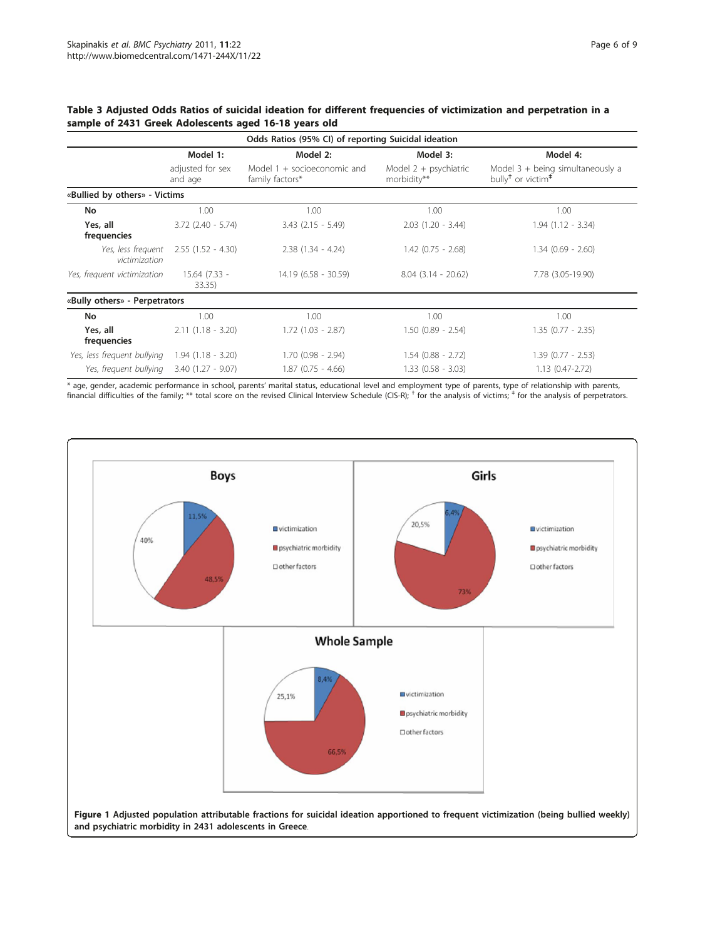|                                     | Odds Ratios (95% CI) of reporting Suicidal ideation |                                                  |                                        |                                                                                 |  |  |  |
|-------------------------------------|-----------------------------------------------------|--------------------------------------------------|----------------------------------------|---------------------------------------------------------------------------------|--|--|--|
|                                     | Model 1:                                            | Model 2:                                         | Model 3:                               | Model 4:                                                                        |  |  |  |
|                                     | adjusted for sex<br>and age                         | Model $1 +$ socioeconomic and<br>family factors* | Model $2 +$ psychiatric<br>morbidity** | Model $3 +$ being simultaneously a<br>bully <sup>†</sup> or victim <sup>#</sup> |  |  |  |
| «Bullied by others» - Victims       |                                                     |                                                  |                                        |                                                                                 |  |  |  |
| No                                  | 1.00                                                | 1.00                                             | 1.00                                   | 1.00                                                                            |  |  |  |
| Yes, all<br>frequencies             | $3.72$ $(2.40 - 5.74)$                              | $3.43$ $(2.15 - 5.49)$                           | $2.03(1.20 - 3.44)$                    | $1.94(1.12 - 3.34)$                                                             |  |  |  |
| Yes, less frequent<br>victimization | $2.55(1.52 - 4.30)$                                 | $2.38$ $(1.34 - 4.24)$                           | $1.42$ (0.75 - 2.68)                   | $1.34$ (0.69 - 2.60)                                                            |  |  |  |
| Yes, frequent victimization         | 15.64 (7.33 -<br>33.35)                             | 14.19 (6.58 - 30.59)                             | $8.04$ $(3.14 - 20.62)$                | 7.78 (3.05-19.90)                                                               |  |  |  |
| «Bully others» - Perpetrators       |                                                     |                                                  |                                        |                                                                                 |  |  |  |
| No                                  | 1.00                                                | 1.00                                             | 1.00                                   | 1.00                                                                            |  |  |  |
| Yes, all<br>frequencies             | $2.11(1.18 - 3.20)$                                 | $1.72$ $(1.03 - 2.87)$                           | $1.50$ (0.89 - 2.54)                   | $1.35(0.77 - 2.35)$                                                             |  |  |  |
| Yes, less frequent bullying         | $1.94(1.18 - 3.20)$                                 | $1.70$ (0.98 - 2.94)                             | $1.54$ $(0.88 - 2.72)$                 | $1.39(0.77 - 2.53)$                                                             |  |  |  |

## <span id="page-5-0"></span>Table 3 Adjusted Odds Ratios of suicidal ideation for different frequencies of victimization and perpetration in a sample of 2431 Greek Adolescents aged 16-18 years old

\* age, gender, academic performance in school, parents' marital status, educational level and employment type of parents, type of relationship with parents, financial difficulties of the family; \*\* total score on the revised Clinical Interview Schedule (CIS-R); <sup>†</sup> for the analysis of victims; <sup>‡</sup> for the analysis of perpetrators.

Yes, frequent bullying 3.40 (1.27 - 9.07) 1.87 (0.75 - 4.66) 1.33 (0.58 - 3.03) 1.13 (0.47-2.72)

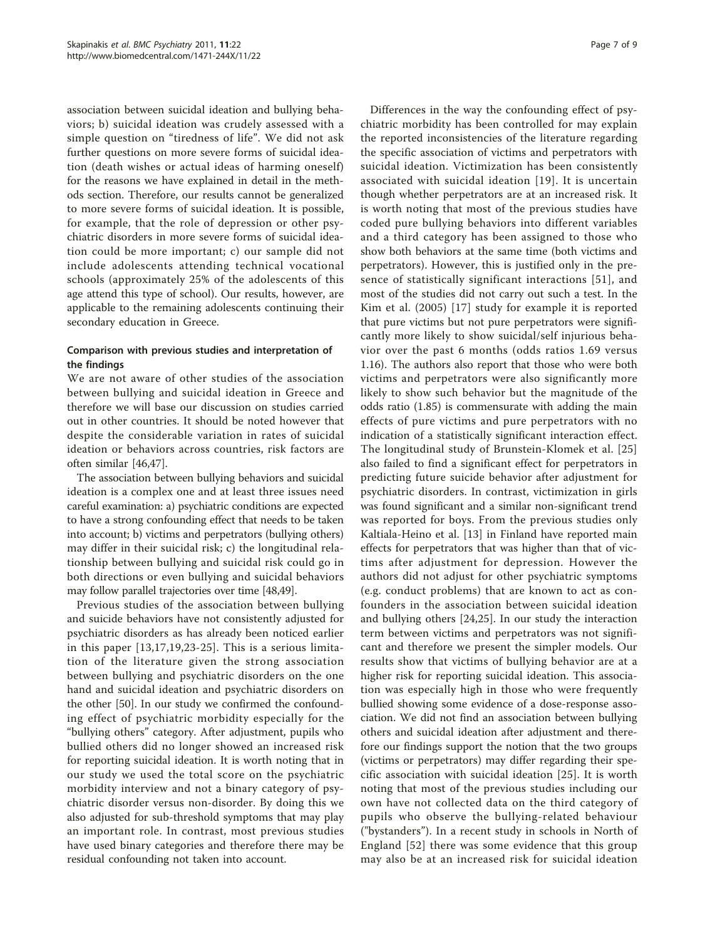association between suicidal ideation and bullying behaviors; b) suicidal ideation was crudely assessed with a simple question on "tiredness of life". We did not ask further questions on more severe forms of suicidal ideation (death wishes or actual ideas of harming oneself) for the reasons we have explained in detail in the methods section. Therefore, our results cannot be generalized to more severe forms of suicidal ideation. It is possible, for example, that the role of depression or other psychiatric disorders in more severe forms of suicidal ideation could be more important; c) our sample did not include adolescents attending technical vocational schools (approximately 25% of the adolescents of this age attend this type of school). Our results, however, are applicable to the remaining adolescents continuing their secondary education in Greece.

## Comparison with previous studies and interpretation of the findings

We are not aware of other studies of the association between bullying and suicidal ideation in Greece and therefore we will base our discussion on studies carried out in other countries. It should be noted however that despite the considerable variation in rates of suicidal ideation or behaviors across countries, risk factors are often similar [[46](#page-8-0),[47](#page-8-0)].

The association between bullying behaviors and suicidal ideation is a complex one and at least three issues need careful examination: a) psychiatric conditions are expected to have a strong confounding effect that needs to be taken into account; b) victims and perpetrators (bullying others) may differ in their suicidal risk; c) the longitudinal relationship between bullying and suicidal risk could go in both directions or even bullying and suicidal behaviors may follow parallel trajectories over time [[48,49\]](#page-8-0).

Previous studies of the association between bullying and suicide behaviors have not consistently adjusted for psychiatric disorders as has already been noticed earlier in this paper [[13](#page-8-0),[17,19,23-25\]](#page-8-0). This is a serious limitation of the literature given the strong association between bullying and psychiatric disorders on the one hand and suicidal ideation and psychiatric disorders on the other [[50](#page-8-0)]. In our study we confirmed the confounding effect of psychiatric morbidity especially for the "bullying others" category. After adjustment, pupils who bullied others did no longer showed an increased risk for reporting suicidal ideation. It is worth noting that in our study we used the total score on the psychiatric morbidity interview and not a binary category of psychiatric disorder versus non-disorder. By doing this we also adjusted for sub-threshold symptoms that may play an important role. In contrast, most previous studies have used binary categories and therefore there may be residual confounding not taken into account.

Differences in the way the confounding effect of psychiatric morbidity has been controlled for may explain the reported inconsistencies of the literature regarding the specific association of victims and perpetrators with suicidal ideation. Victimization has been consistently associated with suicidal ideation [[19](#page-8-0)]. It is uncertain though whether perpetrators are at an increased risk. It is worth noting that most of the previous studies have coded pure bullying behaviors into different variables and a third category has been assigned to those who show both behaviors at the same time (both victims and perpetrators). However, this is justified only in the presence of statistically significant interactions [[51\]](#page-8-0), and most of the studies did not carry out such a test. In the Kim et al. (2005) [[17\]](#page-8-0) study for example it is reported that pure victims but not pure perpetrators were significantly more likely to show suicidal/self injurious behavior over the past 6 months (odds ratios 1.69 versus 1.16). The authors also report that those who were both victims and perpetrators were also significantly more likely to show such behavior but the magnitude of the odds ratio (1.85) is commensurate with adding the main effects of pure victims and pure perpetrators with no indication of a statistically significant interaction effect. The longitudinal study of Brunstein-Klomek et al. [\[25](#page-8-0)] also failed to find a significant effect for perpetrators in predicting future suicide behavior after adjustment for psychiatric disorders. In contrast, victimization in girls was found significant and a similar non-significant trend was reported for boys. From the previous studies only Kaltiala-Heino et al. [[13\]](#page-8-0) in Finland have reported main effects for perpetrators that was higher than that of victims after adjustment for depression. However the authors did not adjust for other psychiatric symptoms (e.g. conduct problems) that are known to act as confounders in the association between suicidal ideation and bullying others [[24,25\]](#page-8-0). In our study the interaction term between victims and perpetrators was not significant and therefore we present the simpler models. Our results show that victims of bullying behavior are at a higher risk for reporting suicidal ideation. This association was especially high in those who were frequently bullied showing some evidence of a dose-response association. We did not find an association between bullying others and suicidal ideation after adjustment and therefore our findings support the notion that the two groups (victims or perpetrators) may differ regarding their specific association with suicidal ideation [[25](#page-8-0)]. It is worth noting that most of the previous studies including our own have not collected data on the third category of pupils who observe the bullying-related behaviour ("bystanders"). In a recent study in schools in North of England [\[52](#page-8-0)] there was some evidence that this group may also be at an increased risk for suicidal ideation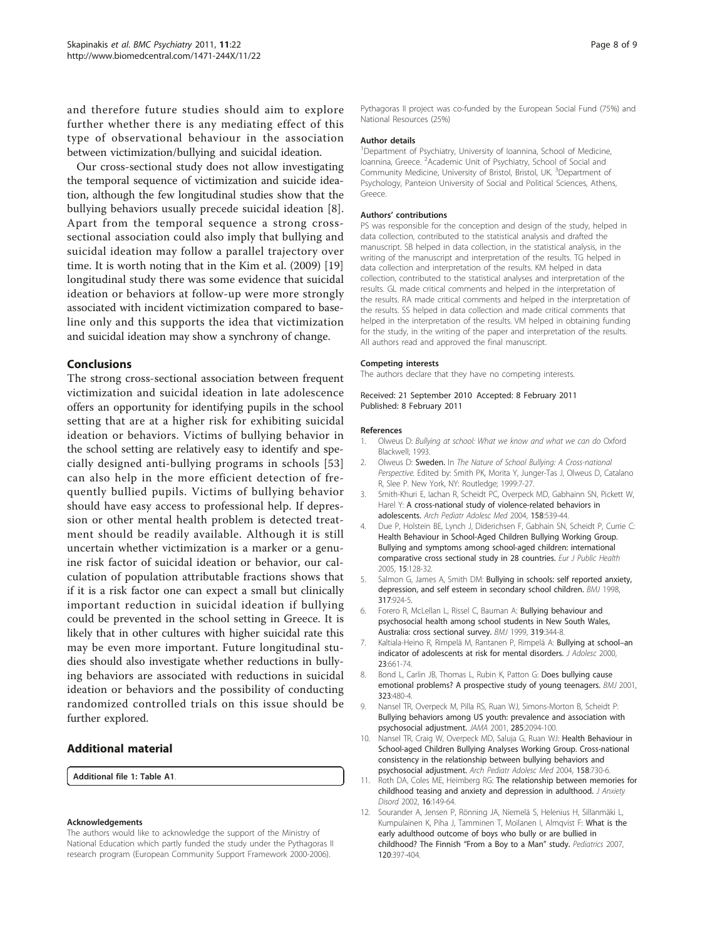<span id="page-7-0"></span>and therefore future studies should aim to explore further whether there is any mediating effect of this type of observational behaviour in the association between victimization/bullying and suicidal ideation.

Our cross-sectional study does not allow investigating the temporal sequence of victimization and suicide ideation, although the few longitudinal studies show that the bullying behaviors usually precede suicidal ideation [8]. Apart from the temporal sequence a strong crosssectional association could also imply that bullying and suicidal ideation may follow a parallel trajectory over time. It is worth noting that in the Kim et al. (2009) [\[19](#page-8-0)] longitudinal study there was some evidence that suicidal ideation or behaviors at follow-up were more strongly associated with incident victimization compared to baseline only and this supports the idea that victimization and suicidal ideation may show a synchrony of change.

#### Conclusions

The strong cross-sectional association between frequent victimization and suicidal ideation in late adolescence offers an opportunity for identifying pupils in the school setting that are at a higher risk for exhibiting suicidal ideation or behaviors. Victims of bullying behavior in the school setting are relatively easy to identify and specially designed anti-bullying programs in schools [[53](#page-8-0)] can also help in the more efficient detection of frequently bullied pupils. Victims of bullying behavior should have easy access to professional help. If depression or other mental health problem is detected treatment should be readily available. Although it is still uncertain whether victimization is a marker or a genuine risk factor of suicidal ideation or behavior, our calculation of population attributable fractions shows that if it is a risk factor one can expect a small but clinically important reduction in suicidal ideation if bullying could be prevented in the school setting in Greece. It is likely that in other cultures with higher suicidal rate this may be even more important. Future longitudinal studies should also investigate whether reductions in bullying behaviors are associated with reductions in suicidal ideation or behaviors and the possibility of conducting randomized controlled trials on this issue should be further explored.

## Additional material

[Additional file 1: T](http://www.biomedcentral.com/content/supplementary/1471-244X-11-22-S1.DOC)able A1.

#### Acknowledgements

The authors would like to acknowledge the support of the Ministry of National Education which partly funded the study under the Pythagoras II research program (European Community Support Framework 2000-2006).

Pythagoras II project was co-funded by the European Social Fund (75%) and National Resources (25%)

#### Author details

<sup>1</sup>Department of Psychiatry, University of Ioannina, School of Medicine, loannina, Greece. <sup>2</sup> Academic Unit of Psychiatry, School of Social and Community Medicine, University of Bristol, Bristol, UK.<sup>3</sup> Department of Psychology, Panteion University of Social and Political Sciences, Athens, Greece.

#### Authors' contributions

PS was responsible for the conception and design of the study, helped in data collection, contributed to the statistical analysis and drafted the manuscript. SB helped in data collection, in the statistical analysis, in the writing of the manuscript and interpretation of the results. TG helped in data collection and interpretation of the results. KM helped in data collection, contributed to the statistical analyses and interpretation of the results. GL made critical comments and helped in the interpretation of the results. RA made critical comments and helped in the interpretation of the results. SS helped in data collection and made critical comments that helped in the interpretation of the results. VM helped in obtaining funding for the study, in the writing of the paper and interpretation of the results. All authors read and approved the final manuscript.

#### Competing interests

The authors declare that they have no competing interests.

Received: 21 September 2010 Accepted: 8 February 2011 Published: 8 February 2011

#### References

- 1. Olweus D: Bullying at school: What we know and what we can do Oxford Blackwell; 1993.
- 2. Olweus D: Sweden. In The Nature of School Bullying: A Cross-national Perspective. Edited by: Smith PK, Morita Y, Junger-Tas J, Olweus D, Catalano R, Slee P. New York, NY: Routledge; 1999:7-27.
- 3. Smith-Khuri E, Iachan R, Scheidt PC, Overpeck MD, Gabhainn SN, Pickett W, Harel Y: [A cross-national study of violence-related behaviors in](http://www.ncbi.nlm.nih.gov/pubmed/15184216?dopt=Abstract) [adolescents.](http://www.ncbi.nlm.nih.gov/pubmed/15184216?dopt=Abstract) Arch Pediatr Adolesc Med 2004, 158:539-44.
- 4. Due P, Holstein BE, Lynch J, Diderichsen F, Gabhain SN, Scheidt P, Currie C: [Health Behaviour in School-Aged Children Bullying Working Group.](http://www.ncbi.nlm.nih.gov/pubmed/15755782?dopt=Abstract) [Bullying and symptoms among school-aged children: international](http://www.ncbi.nlm.nih.gov/pubmed/15755782?dopt=Abstract) [comparative cross sectional study in 28 countries.](http://www.ncbi.nlm.nih.gov/pubmed/15755782?dopt=Abstract) Eur J Public Health 2005, 15:128-32.
- Salmon G, James A, Smith DM: [Bullying in schools: self reported anxiety,](http://www.ncbi.nlm.nih.gov/pubmed/9756812?dopt=Abstract) [depression, and self esteem in secondary school children.](http://www.ncbi.nlm.nih.gov/pubmed/9756812?dopt=Abstract) BMJ 1998, 317:924-5.
- 6. Forero R, McLellan L, Rissel C, Bauman A: [Bullying behaviour and](http://www.ncbi.nlm.nih.gov/pubmed/10435953?dopt=Abstract) [psychosocial health among school students in New South Wales,](http://www.ncbi.nlm.nih.gov/pubmed/10435953?dopt=Abstract) [Australia: cross sectional survey.](http://www.ncbi.nlm.nih.gov/pubmed/10435953?dopt=Abstract) BMJ 1999, 319:344-8.
- 7. Kaltiala-Heino R, Rimpelä M, Rantanen P, Rimpelä A: [Bullying at school](http://www.ncbi.nlm.nih.gov/pubmed/11161331?dopt=Abstract)–an [indicator of adolescents at risk for mental disorders.](http://www.ncbi.nlm.nih.gov/pubmed/11161331?dopt=Abstract) J Adolesc 2000, 23:661-74.
- 8. Bond L, Carlin JB, Thomas L, Rubin K, Patton G: [Does bullying cause](http://www.ncbi.nlm.nih.gov/pubmed/11532838?dopt=Abstract) [emotional problems? A prospective study of young teenagers.](http://www.ncbi.nlm.nih.gov/pubmed/11532838?dopt=Abstract) BMJ 2001, 323:480-4.
- 9. Nansel TR, Overpeck M, Pilla RS, Ruan WJ, Simons-Morton B, Scheidt P: [Bullying behaviors among US youth: prevalence and association with](http://www.ncbi.nlm.nih.gov/pubmed/11311098?dopt=Abstract) [psychosocial adjustment.](http://www.ncbi.nlm.nih.gov/pubmed/11311098?dopt=Abstract) JAMA 2001, 285:2094-100.
- 10. Nansel TR, Craig W, Overpeck MD, Saluja G, Ruan WJ: [Health Behaviour in](http://www.ncbi.nlm.nih.gov/pubmed/15289243?dopt=Abstract) [School-aged Children Bullying Analyses Working Group. Cross-national](http://www.ncbi.nlm.nih.gov/pubmed/15289243?dopt=Abstract) [consistency in the relationship between bullying behaviors and](http://www.ncbi.nlm.nih.gov/pubmed/15289243?dopt=Abstract) [psychosocial adjustment.](http://www.ncbi.nlm.nih.gov/pubmed/15289243?dopt=Abstract) Arch Pediatr Adolesc Med 2004, 158:730-6.
- 11. Roth DA, Coles ME, Heimberg RG: [The relationship between memories for](http://www.ncbi.nlm.nih.gov/pubmed/12194541?dopt=Abstract) [childhood teasing and anxiety and depression in adulthood.](http://www.ncbi.nlm.nih.gov/pubmed/12194541?dopt=Abstract) J Anxiety Disord 2002, 16:149-64.
- 12. Sourander A, Jensen P, Rönning JA, Niemelä S, Helenius H, Sillanmäki L, Kumpulainen K, Piha J, Tamminen T, Moilanen I, Almqvist F: [What is the](http://www.ncbi.nlm.nih.gov/pubmed/17671067?dopt=Abstract) [early adulthood outcome of boys who bully or are bullied in](http://www.ncbi.nlm.nih.gov/pubmed/17671067?dopt=Abstract) [childhood? The Finnish](http://www.ncbi.nlm.nih.gov/pubmed/17671067?dopt=Abstract) "From a Boy to a Man" study. Pediatrics 2007, 120:397-404.